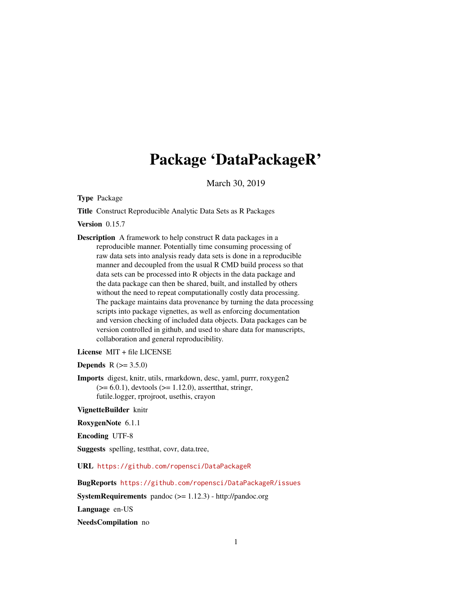# Package 'DataPackageR'

March 30, 2019

<span id="page-0-0"></span>Type Package

Title Construct Reproducible Analytic Data Sets as R Packages

Version 0.15.7

Description A framework to help construct R data packages in a reproducible manner. Potentially time consuming processing of raw data sets into analysis ready data sets is done in a reproducible manner and decoupled from the usual R CMD build process so that data sets can be processed into R objects in the data package and the data package can then be shared, built, and installed by others without the need to repeat computationally costly data processing. The package maintains data provenance by turning the data processing scripts into package vignettes, as well as enforcing documentation and version checking of included data objects. Data packages can be version controlled in github, and used to share data for manuscripts, collaboration and general reproducibility.

License MIT + file LICENSE

**Depends** R  $(>= 3.5.0)$ 

Imports digest, knitr, utils, rmarkdown, desc, yaml, purrr, roxygen2  $(>= 6.0.1)$ , devtools  $(>= 1.12.0)$ , assertthat, stringr, futile.logger, rprojroot, usethis, crayon

VignetteBuilder knitr

RoxygenNote 6.1.1

Encoding UTF-8

Suggests spelling, testthat, covr, data.tree,

URL <https://github.com/ropensci/DataPackageR>

BugReports <https://github.com/ropensci/DataPackageR/issues>

SystemRequirements pandoc (>= 1.12.3) - http://pandoc.org

Language en-US

NeedsCompilation no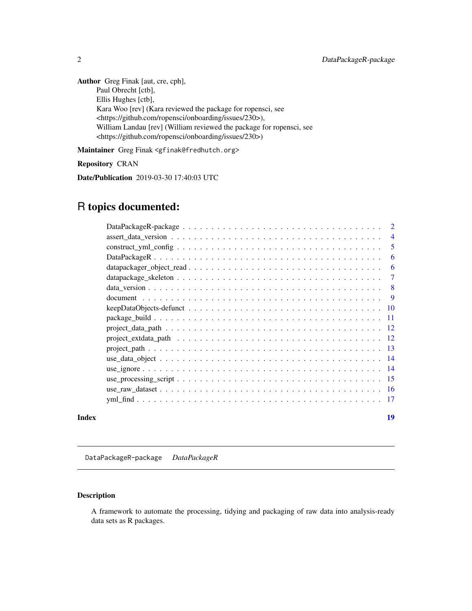<span id="page-1-0"></span>Author Greg Finak [aut, cre, cph], Paul Obrecht [ctb], Ellis Hughes [ctb], Kara Woo [rev] (Kara reviewed the package for ropensci, see <https://github.com/ropensci/onboarding/issues/230>), William Landau [rev] (William reviewed the package for ropensci, see <https://github.com/ropensci/onboarding/issues/230>)

Maintainer Greg Finak <gfinak@fredhutch.org>

#### Repository CRAN

Date/Publication 2019-03-30 17:40:03 UTC

# R topics documented:

|       |                                                                                                                                       | $\overline{2}$ |
|-------|---------------------------------------------------------------------------------------------------------------------------------------|----------------|
|       |                                                                                                                                       | $\overline{4}$ |
|       |                                                                                                                                       | 5              |
|       |                                                                                                                                       | 6              |
|       | $datapackage\_object\_read \dots \dots \dots \dots \dots \dots \dots \dots \dots \dots \dots \dots \dots$                             | 6              |
|       |                                                                                                                                       | $\overline{7}$ |
|       |                                                                                                                                       | 8              |
|       |                                                                                                                                       | -9             |
|       | $keepDataObjects-defunct \dots \dots \dots \dots \dots \dots \dots \dots \dots \dots \dots \dots \dots \dots \dots \dots \dots \dots$ |                |
|       |                                                                                                                                       |                |
|       |                                                                                                                                       |                |
|       |                                                                                                                                       |                |
|       |                                                                                                                                       |                |
|       |                                                                                                                                       |                |
|       |                                                                                                                                       |                |
|       |                                                                                                                                       |                |
|       |                                                                                                                                       |                |
|       |                                                                                                                                       |                |
| Index |                                                                                                                                       | 19             |

DataPackageR-package *DataPackageR*

# Description

A framework to automate the processing, tidying and packaging of raw data into analysis-ready data sets as R packages.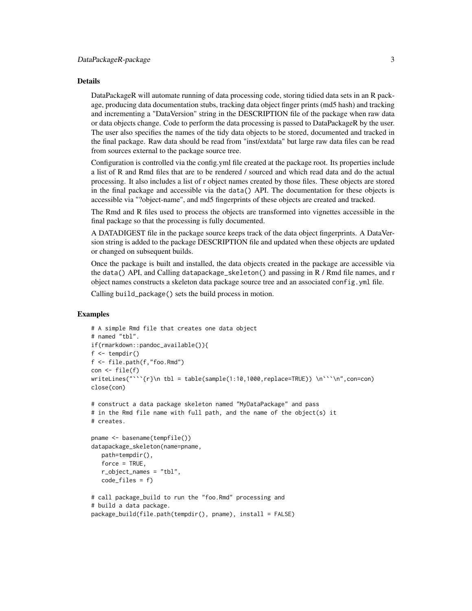#### Details

DataPackageR will automate running of data processing code, storing tidied data sets in an R package, producing data documentation stubs, tracking data object finger prints (md5 hash) and tracking and incrementing a "DataVersion" string in the DESCRIPTION file of the package when raw data or data objects change. Code to perform the data processing is passed to DataPackageR by the user. The user also specifies the names of the tidy data objects to be stored, documented and tracked in the final package. Raw data should be read from "inst/extdata" but large raw data files can be read from sources external to the package source tree.

Configuration is controlled via the config.yml file created at the package root. Its properties include a list of R and Rmd files that are to be rendered / sourced and which read data and do the actual processing. It also includes a list of r object names created by those files. These objects are stored in the final package and accessible via the data() API. The documentation for these objects is accessible via "?object-name", and md5 fingerprints of these objects are created and tracked.

The Rmd and R files used to process the objects are transformed into vignettes accessible in the final package so that the processing is fully documented.

A DATADIGEST file in the package source keeps track of the data object fingerprints. A DataVersion string is added to the package DESCRIPTION file and updated when these objects are updated or changed on subsequent builds.

Once the package is built and installed, the data objects created in the package are accessible via the data() API, and Calling datapackage\_skeleton() and passing in R / Rmd file names, and r object names constructs a skeleton data package source tree and an associated config.yml file.

Calling build\_package() sets the build process in motion.

```
# A simple Rmd file that creates one data object
# named "tbl".
if(rmarkdown::pandoc_available()){
f \leftarrow \text{template}()f <- file.path(f,"foo.Rmd")
con < file(f)
writeLines("```{r}\n tbl = table(sample(1:10,1000,replace=TRUE)) \n```\n",con=con)
close(con)
# construct a data package skeleton named "MyDataPackage" and pass
# in the Rmd file name with full path, and the name of the object(s) it
# creates.
pname <- basename(tempfile())
datapackage_skeleton(name=pname,
  path=tempdir(),
  force = TRUE,r_object_names = "tbl",
   code_files = f)
# call package_build to run the "foo.Rmd" processing and
# build a data package.
package_build(file.path(tempdir(), pname), install = FALSE)
```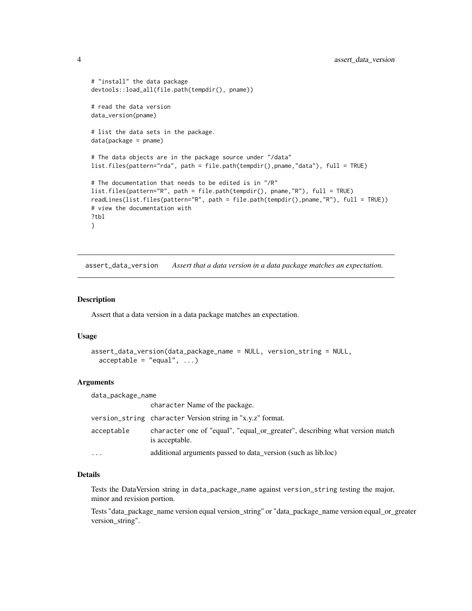```
# "install" the data package
devtools::load_all(file.path(tempdir(), pname))
# read the data version
data_version(pname)
# list the data sets in the package.
data(package = pname)
# The data objects are in the package source under "/data"
list.files(pattern="rda", path = file.path(tempdir(),pname,"data"), full = TRUE)
# The documentation that needs to be edited is in "/R"
list.files(pattern="R", path = file.path(tempdir(), pname,"R"), full = TRUE)
readLines(list.files(pattern="R", path = file.path(tempdir(),pname,"R"), full = TRUE))
# view the documentation with
?tbl
}
```
assert\_data\_version *Assert that a data version in a data package matches an expectation.*

#### Description

Assert that a data version in a data package matches an expectation.

#### Usage

```
assert_data_version(data_package_name = NULL, version_string = NULL,
 acceptable = "equal", ...)
```
#### Arguments

| data_package_name |                                                                                               |
|-------------------|-----------------------------------------------------------------------------------------------|
|                   | character Name of the package.                                                                |
|                   | version_string character Version string in "x.y.z" format.                                    |
| acceptable        | character one of "equal", "equal_or_greater", describing what version match<br>is acceptable. |
| $\ddotsc$         | additional arguments passed to data_version (such as lib.loc)                                 |

# Details

Tests the DataVersion string in data\_package\_name against version\_string testing the major, minor and revision portion.

Tests "data\_package\_name version equal version\_string" or "data\_package\_name version equal\_or\_greater version\_string".

<span id="page-3-0"></span>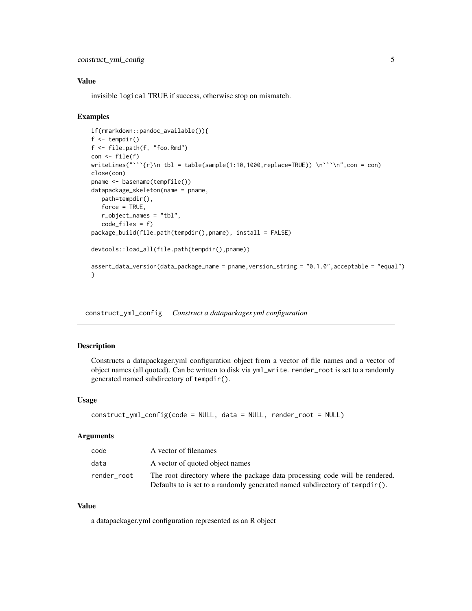# <span id="page-4-0"></span>Value

invisible logical TRUE if success, otherwise stop on mismatch.

#### Examples

```
if(rmarkdown::pandoc_available()){
f \leftarrow \text{template}()f <- file.path(f, "foo.Rmd")
con < file(f)
writeLines("```{r}\n tbl = table(sample(1:10,1000,replace=TRUE)) \n''\n",con = con)
close(con)
pname <- basename(tempfile())
datapackage_skeleton(name = pname,
   path=tempdir(),
   force = TRUE,
   r_object_names = "tbl",
   code_files = f)
package_build(file.path(tempdir(),pname), install = FALSE)
devtools::load_all(file.path(tempdir(),pname))
assert_data_version(data_package_name = pname,version_string = "0.1.0",acceptable = "equal")
}
```
construct\_yml\_config *Construct a datapackager.yml configuration*

#### Description

Constructs a datapackager.yml configuration object from a vector of file names and a vector of object names (all quoted). Can be written to disk via yml\_write. render\_root is set to a randomly generated named subdirectory of tempdir().

#### Usage

```
construct_yml_config(code = NULL, data = NULL, render_root = NULL)
```
#### Arguments

| code        | A vector of filenames                                                                                                                                         |
|-------------|---------------------------------------------------------------------------------------------------------------------------------------------------------------|
| data        | A vector of quoted object names                                                                                                                               |
| render root | The root directory where the package data processing code will be rendered.<br>Defaults to is set to a randomly generated named subdirectory of $tempdir()$ . |

# Value

a datapackager.yml configuration represented as an R object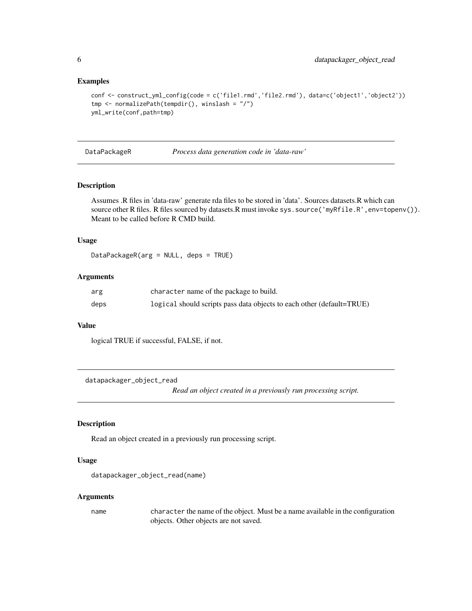#### Examples

```
conf <- construct_yml_config(code = c('file1.rmd','file2.rmd'), data=c('object1','object2'))
tmp <- normalizePath(tempdir(), winslash = "/")
yml_write(conf,path=tmp)
```
DataPackageR *Process data generation code in 'data-raw'*

#### Description

Assumes .R files in 'data-raw' generate rda files to be stored in 'data'. Sources datasets.R which can source other R files. R files sourced by datasets.R must invoke sys.source('myRfile.R', env=topenv()). Meant to be called before R CMD build.

#### Usage

DataPackageR(arg = NULL, deps = TRUE)

#### Arguments

| arg  | character name of the package to build.                               |
|------|-----------------------------------------------------------------------|
| deps | logical should scripts pass data objects to each other (default=TRUE) |

#### Value

logical TRUE if successful, FALSE, if not.

datapackager\_object\_read

*Read an object created in a previously run processing script.*

# Description

Read an object created in a previously run processing script.

#### Usage

```
datapackager_object_read(name)
```
#### Arguments

name character the name of the object. Must be a name available in the configuration objects. Other objects are not saved.

<span id="page-5-0"></span>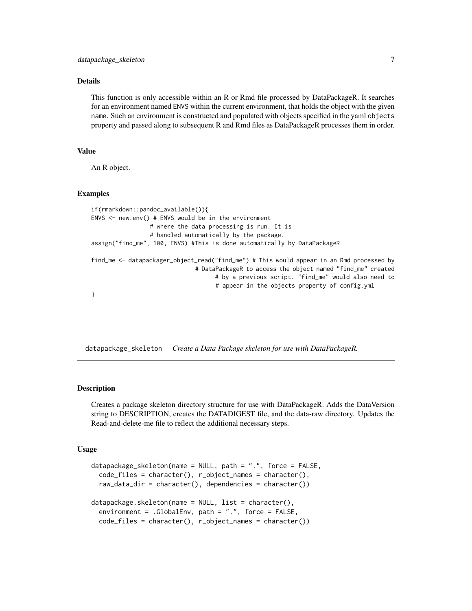# <span id="page-6-0"></span>Details

This function is only accessible within an R or Rmd file processed by DataPackageR. It searches for an environment named ENVS within the current environment, that holds the object with the given name. Such an environment is constructed and populated with objects specified in the yaml objects property and passed along to subsequent R and Rmd files as DataPackageR processes them in order.

#### Value

An R object.

#### Examples

```
if(rmarkdown::pandoc_available()){
ENVS \leq new.env() # ENVS would be in the environment
                 # where the data processing is run. It is
                 # handled automatically by the package.
assign("find_me", 100, ENVS) #This is done automatically by DataPackageR
find_me <- datapackager_object_read("find_me") # This would appear in an Rmd processed by
                              # DataPackageR to access the object named "find_me" created
                                    # by a previous script. "find_me" would also need to
                                    # appear in the objects property of config.yml
}
```
datapackage\_skeleton *Create a Data Package skeleton for use with DataPackageR.*

#### Description

Creates a package skeleton directory structure for use with DataPackageR. Adds the DataVersion string to DESCRIPTION, creates the DATADIGEST file, and the data-raw directory. Updates the Read-and-delete-me file to reflect the additional necessary steps.

#### Usage

```
datapackage_skeleton(name = NULL, path = ".", force = FALSE,
 code_files = character(), r_object_names = character(),
 raw_data_dir = character(), dependencies = character())
datapackage.\nselect on(name = NULL, list = character(),environment = .GlobalEnv, path = ".", force = FALSE,
 code_files = character(), r_object_names = character())
```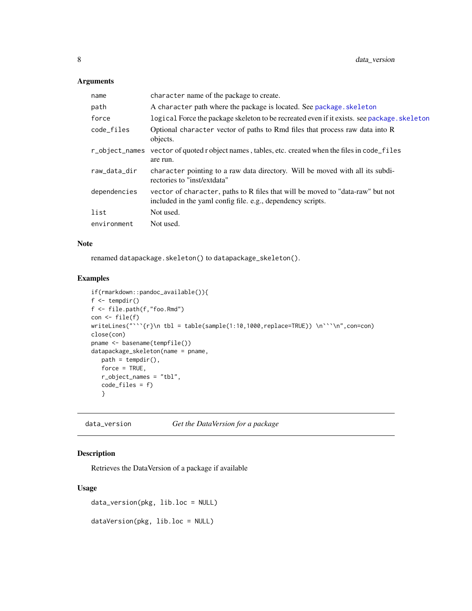# <span id="page-7-0"></span>Arguments

| name         | character name of the package to create.                                                                                                      |
|--------------|-----------------------------------------------------------------------------------------------------------------------------------------------|
| path         | A character path where the package is located. See package. skeleton                                                                          |
| force        | logical Force the package skeleton to be recreated even if it exists, see package, skeleton                                                   |
| code_files   | Optional character vector of paths to Rmd files that process raw data into R<br>objects.                                                      |
|              | r_object_names vector of quoted r object names, tables, etc. created when the files in code_files<br>are run.                                 |
| raw_data_dir | character pointing to a raw data directory. Will be moved with all its subdi-<br>rectories to "inst/extdata"                                  |
| dependencies | vector of character, paths to R files that will be moved to "data-raw" but not<br>included in the yaml config file. e.g., dependency scripts. |
| list         | Not used.                                                                                                                                     |
| environment  | Not used.                                                                                                                                     |

# Note

renamed datapackage.skeleton() to datapackage\_skeleton().

# Examples

```
if(rmarkdown::pandoc_available()){
f <- tempdir()
f <- file.path(f,"foo.Rmd")
con <- file(f)
writeLines("```{r}\n tbl = table(sample(1:10,1000,replace=TRUE)) \n```\n",con=con)
close(con)
pname <- basename(tempfile())
datapackage_skeleton(name = pname,
   path = tempdir(),force = TRUE,
   r_object_names = "tbl",
   code_files = f)
   }
```
data\_version *Get the DataVersion for a package*

# Description

Retrieves the DataVersion of a package if available

#### Usage

data\_version(pkg, lib.loc = NULL)

dataVersion(pkg, lib.loc = NULL)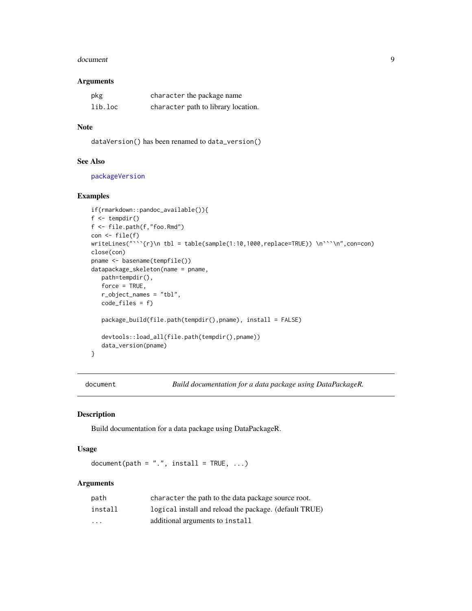#### <span id="page-8-0"></span>document 99

#### Arguments

| pkg     | character the package name          |
|---------|-------------------------------------|
| lib.loc | character path to library location. |

# Note

dataVersion() has been renamed to data\_version()

# See Also

[packageVersion](#page-0-0)

# Examples

```
if(rmarkdown::pandoc_available()){
f \leftarrow \text{tempdir}()f <- file.path(f,"foo.Rmd")
con < file(f)
writeLines("```{r}\n tbl = table(sample(1:10,1000,replace=TRUE)) \n```\n",con=con)
close(con)
pname <- basename(tempfile())
datapackage_skeleton(name = pname,
  path=tempdir(),
   force = TRUE,
  r_object_names = "tbl",
   code_files = f)
   package_build(file.path(tempdir(),pname), install = FALSE)
   devtools::load_all(file.path(tempdir(),pname))
  data_version(pname)
}
```
document *Build documentation for a data package using DataPackageR.*

# Description

Build documentation for a data package using DataPackageR.

#### Usage

 $document(path = "." , install = TRUE, ...)$ 

# Arguments

| path                    | character the path to the data package source root.    |
|-------------------------|--------------------------------------------------------|
| install                 | logical install and reload the package. (default TRUE) |
| $\cdot$ $\cdot$ $\cdot$ | additional arguments to install                        |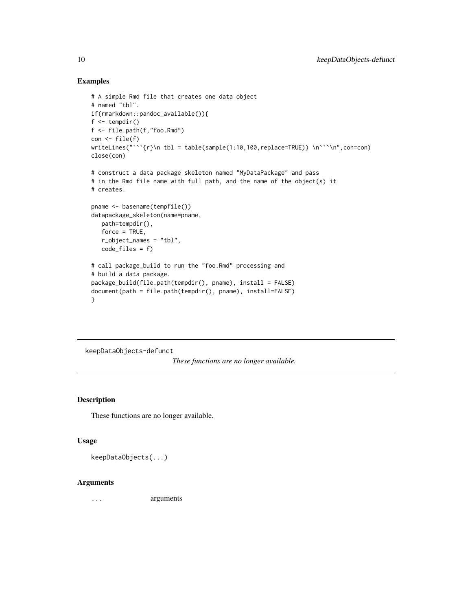#### Examples

```
# A simple Rmd file that creates one data object
# named "tbl".
if(rmarkdown::pandoc_available()){
f \leftarrow \text{tempdir}()f <- file.path(f,"foo.Rmd")
con <- file(f)
writeLines("```{r}\n tbl = table(sample(1:10,100,replace=TRUE)) \n```\n",con=con)
close(con)
# construct a data package skeleton named "MyDataPackage" and pass
# in the Rmd file name with full path, and the name of the object(s) it
# creates.
pname <- basename(tempfile())
datapackage_skeleton(name=pname,
   path=tempdir(),
   force = TRUE,
   r_object_names = "tbl",
   code_files = f)
# call package_build to run the "foo.Rmd" processing and
# build a data package.
package_build(file.path(tempdir(), pname), install = FALSE)
document(path = file.path(tempdir(), pname), install=FALSE)
}
```
keepDataObjects-defunct

*These functions are no longer available.*

# Description

These functions are no longer available.

### Usage

keepDataObjects(...)

#### Arguments

... arguments

<span id="page-9-0"></span>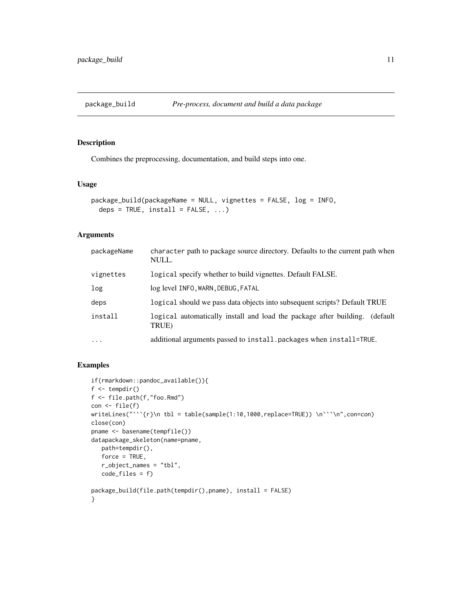<span id="page-10-0"></span>

# Description

Combines the preprocessing, documentation, and build steps into one.

## Usage

```
package_build(packageName = NULL, vignettes = FALSE, log = INFO,
  deps = TRUE, install = FALSE, ...)
```
# Arguments

| packageName | character path to package source directory. Defaults to the current path when<br>NULL.   |
|-------------|------------------------------------------------------------------------------------------|
| vignettes   | logical specify whether to build vignettes. Default FALSE.                               |
| log         | log level INFO, WARN, DEBUG, FATAL                                                       |
| deps        | logical should we pass data objects into subsequent scripts? Default TRUE                |
| install     | logical automatically install and load the package after building.<br>(default)<br>TRUE) |
| $\cdots$    | additional arguments passed to install, packages when install=TRUE.                      |

```
if(rmarkdown::pandoc_available()){
f \leftarrow \text{tempdir}()f <- file.path(f,"foo.Rmd")
con <- file(f)
writeLines("```{r}\n tbl = table(sample(1:10,1000,replace=TRUE)) \n```\n",con=con)
close(con)
pname <- basename(tempfile())
datapackage_skeleton(name=pname,
  path=tempdir(),
   force = TRUE,
  r_object_names = "tbl",
  code_files = f)
package_build(file.path(tempdir(),pname), install = FALSE)
}
```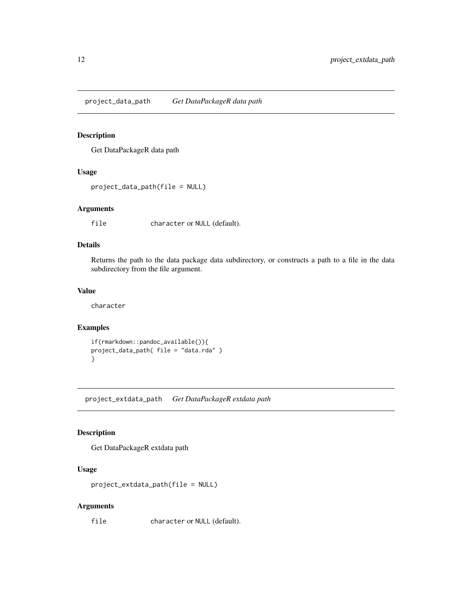<span id="page-11-0"></span>project\_data\_path *Get DataPackageR data path*

# Description

Get DataPackageR data path

# Usage

```
project_data_path(file = NULL)
```
# Arguments

file character or NULL (default).

# Details

Returns the path to the data package data subdirectory, or constructs a path to a file in the data subdirectory from the file argument.

# Value

character

# Examples

```
if(rmarkdown::pandoc_available()){
project_data_path( file = "data.rda" )
}
```
project\_extdata\_path *Get DataPackageR extdata path*

# Description

Get DataPackageR extdata path

### Usage

```
project_extdata_path(file = NULL)
```
#### Arguments

file character or NULL (default).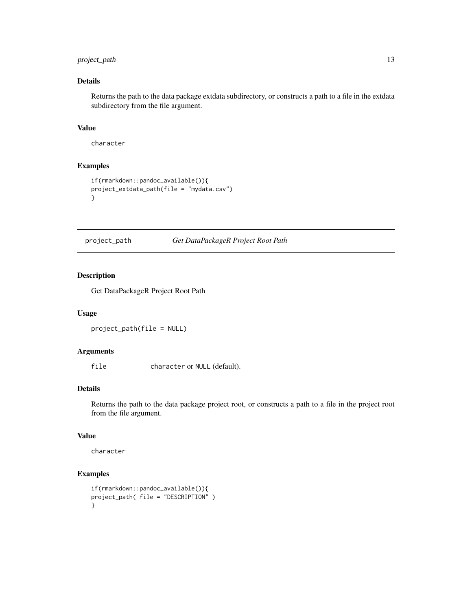# <span id="page-12-0"></span>project\_path 13

# Details

Returns the path to the data package extdata subdirectory, or constructs a path to a file in the extdata subdirectory from the file argument.

#### Value

character

# Examples

```
if(rmarkdown::pandoc_available()){
project_extdata_path(file = "mydata.csv")
}
```
project\_path *Get DataPackageR Project Root Path*

# Description

Get DataPackageR Project Root Path

#### Usage

project\_path(file = NULL)

#### Arguments

file character or NULL (default).

# Details

Returns the path to the data package project root, or constructs a path to a file in the project root from the file argument.

#### Value

character

```
if(rmarkdown::pandoc_available()){
project_path( file = "DESCRIPTION" )
}
```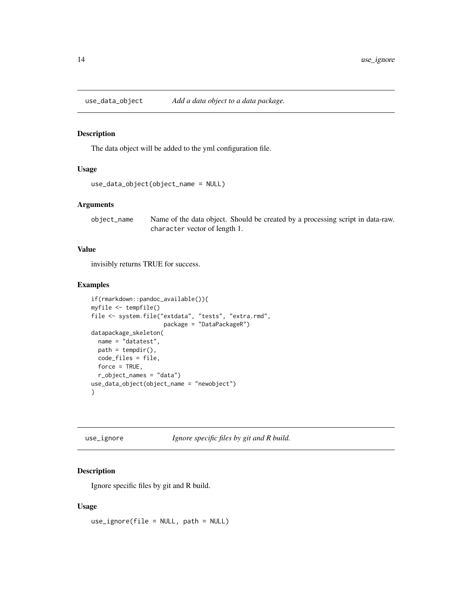<span id="page-13-0"></span>

#### Description

The data object will be added to the yml configuration file.

# Usage

```
use_data_object(object_name = NULL)
```
# Arguments

object\_name Name of the data object. Should be created by a processing script in data-raw. character vector of length 1.

# Value

invisibly returns TRUE for success.

## Examples

```
if(rmarkdown::pandoc_available()){
myfile <- tempfile()
file <- system.file("extdata", "tests", "extra.rmd",
                     package = "DataPackageR")
datapackage_skeleton(
  name = "datatest",
  path = tempdir(),code_files = file,
  force = TRUE,
  r_object_names = "data")
use_data_object(object_name = "newobject")
}
```
use\_ignore *Ignore specific files by git and R build.*

# Description

Ignore specific files by git and R build.

#### Usage

use\_ignore(file = NULL, path = NULL)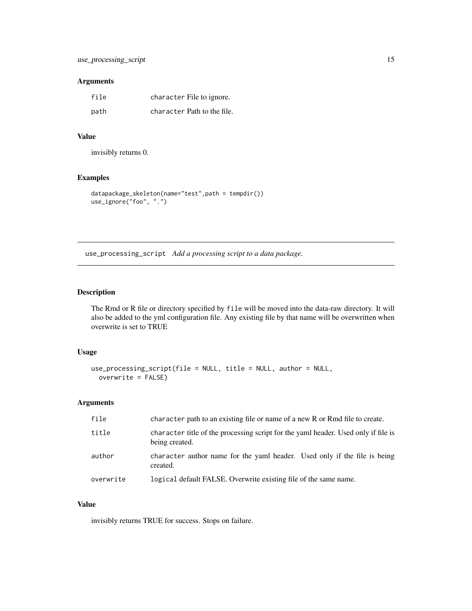### <span id="page-14-0"></span>Arguments

| file | character File to ignore.   |
|------|-----------------------------|
| path | character Path to the file. |

# Value

invisibly returns 0.

# Examples

```
datapackage_skeleton(name="test",path = tempdir())
use_ignore("foo", ".")
```
use\_processing\_script *Add a processing script to a data package.*

# Description

The Rmd or R file or directory specified by file will be moved into the data-raw directory. It will also be added to the yml configuration file. Any existing file by that name will be overwritten when overwrite is set to TRUE

# Usage

```
use_processing_script(file = NULL, title = NULL, author = NULL,
 overwrite = FALSE)
```
# Arguments

| file      | character path to an existing file or name of a new R or Rmd file to create.                         |
|-----------|------------------------------------------------------------------------------------------------------|
| title     | character title of the processing script for the yaml header. Used only if file is<br>being created. |
| author    | character author name for the yaml header. Used only if the file is being<br>created.                |
| overwrite | logical default FALSE. Overwrite existing file of the same name.                                     |

# Value

invisibly returns TRUE for success. Stops on failure.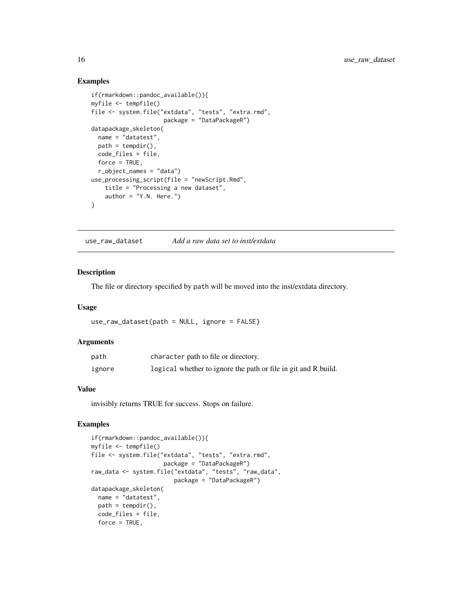#### Examples

```
if(rmarkdown::pandoc_available()){
myfile <- tempfile()
file <- system.file("extdata", "tests", "extra.rmd",
                    package = "DataPackageR")
datapackage_skeleton(
  name = "datatest",
  path = tempdir(),code_files = file,
  force = TRUE,r_object_names = "data")
use_processing_script(file = "newScript.Rmd",
   title = "Processing a new dataset",
   author = "Y.N. Here."}
```
use\_raw\_dataset *Add a raw data set to inst/extdata*

#### Description

The file or directory specified by path will be moved into the inst/extdata directory.

#### Usage

```
use_raw_dataset(path = NULL, ignore = FALSE)
```
#### **Arguments**

| path   | character path to file or directory.                           |
|--------|----------------------------------------------------------------|
| ignore | logical whether to ignore the path or file in git and R build. |

#### Value

invisibly returns TRUE for success. Stops on failure.

```
if(rmarkdown::pandoc_available()){
myfile <- tempfile()
file <- system.file("extdata", "tests", "extra.rmd",
                      package = "DataPackageR")
raw_data <- system.file("extdata", "tests", "raw_data",
                         \overline{\text{package}} = \text{"DataPackageR"}datapackage_skeleton(
  name = "datatest",
  path = tempdir(),code_files = file,
  force = TRUE,
```
<span id="page-15-0"></span>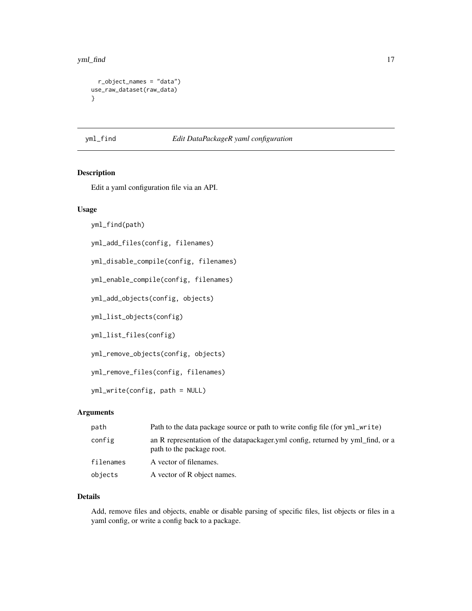#### <span id="page-16-0"></span>yml\_find 17

```
r_object_names = "data")
use_raw_dataset(raw_data)
}
```
#### yml\_find *Edit DataPackageR yaml configuration*

#### Description

Edit a yaml configuration file via an API.

#### Usage

yml\_find(path)

yml\_add\_files(config, filenames)

yml\_disable\_compile(config, filenames)

yml\_enable\_compile(config, filenames)

yml\_add\_objects(config, objects)

yml\_list\_objects(config)

yml\_list\_files(config)

yml\_remove\_objects(config, objects)

yml\_remove\_files(config, filenames)

yml\_write(config, path = NULL)

# Arguments

| path      | Path to the data package source or path to write config file (for yml_write)                                |
|-----------|-------------------------------------------------------------------------------------------------------------|
| config    | an R representation of the datapackager yml config, returned by yml_find, or a<br>path to the package root. |
| filenames | A vector of filenames.                                                                                      |
| objects   | A vector of R object names.                                                                                 |

# Details

Add, remove files and objects, enable or disable parsing of specific files, list objects or files in a yaml config, or write a config back to a package.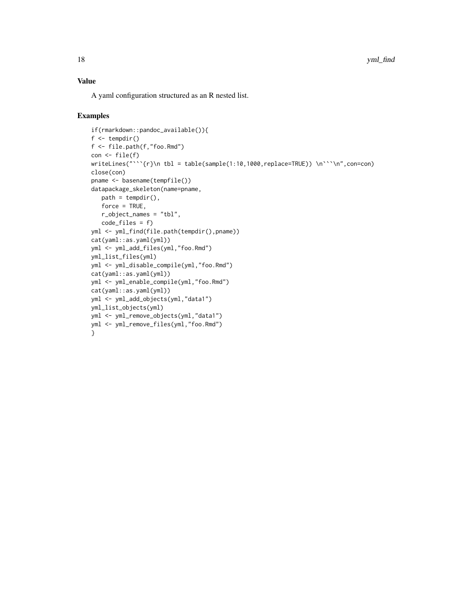18 yml\_find

# Value

A yaml configuration structured as an R nested list.

```
if(rmarkdown::pandoc_available()){
f \leftarrow \text{tempdir}()f <- file.path(f,"foo.Rmd")
con <- file(f)
writeLines("```{r}\n tbl = table(sample(1:10,1000,replace=TRUE)) \n```\n",con=con)
close(con)
pname <- basename(tempfile())
datapackage_skeleton(name=pname,
   path = tempdir(),force = TRUE,
   r_object_names = "tbl",
   code_files = f)
yml <- yml_find(file.path(tempdir(),pname))
cat(yaml::as.yaml(yml))
yml <- yml_add_files(yml,"foo.Rmd")
yml_list_files(yml)
yml <- yml_disable_compile(yml,"foo.Rmd")
cat(yaml::as.yaml(yml))
yml <- yml_enable_compile(yml,"foo.Rmd")
cat(yaml::as.yaml(yml))
yml <- yml_add_objects(yml,"data1")
yml_list_objects(yml)
yml <- yml_remove_objects(yml,"data1")
yml <- yml_remove_files(yml,"foo.Rmd")
}
```